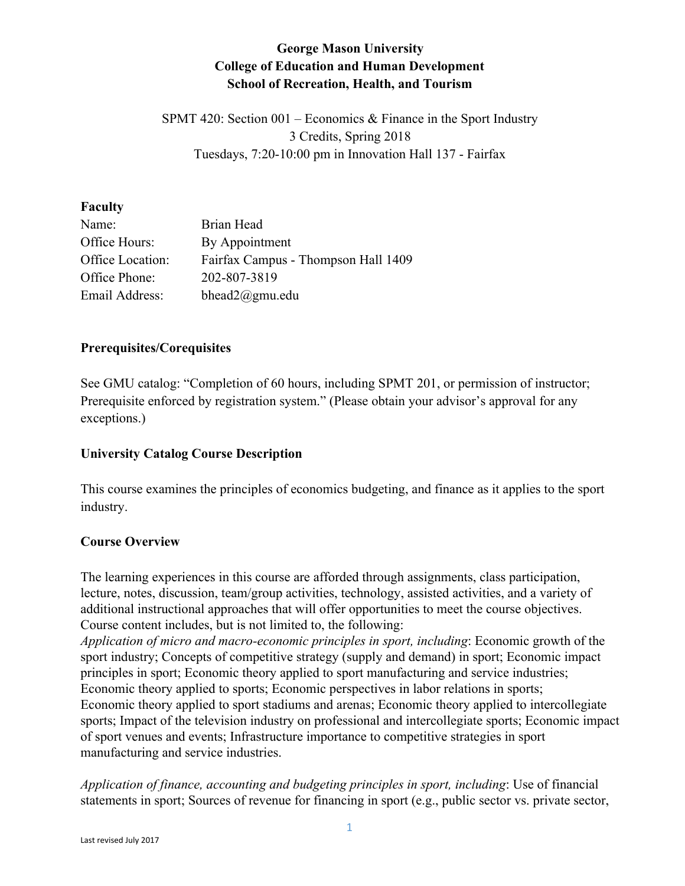# **George Mason University College of Education and Human Development School of Recreation, Health, and Tourism**

SPMT 420: Section  $001$  – Economics & Finance in the Sport Industry 3 Credits, Spring 2018 Tuesdays, 7:20-10:00 pm in Innovation Hall 137 - Fairfax

#### **Faculty**

| Name:            | Brian Head                          |
|------------------|-------------------------------------|
| Office Hours:    | By Appointment                      |
| Office Location: | Fairfax Campus - Thompson Hall 1409 |
| Office Phone:    | 202-807-3819                        |
| Email Address:   | bhead $2@gmu$ .edu                  |

# **Prerequisites/Corequisites**

See GMU catalog: "Completion of 60 hours, including SPMT 201, or permission of instructor; Prerequisite enforced by registration system." (Please obtain your advisor's approval for any exceptions.)

# **University Catalog Course Description**

This course examines the principles of economics budgeting, and finance as it applies to the sport industry.

# **Course Overview**

The learning experiences in this course are afforded through assignments, class participation, lecture, notes, discussion, team/group activities, technology, assisted activities, and a variety of additional instructional approaches that will offer opportunities to meet the course objectives. Course content includes, but is not limited to, the following:

*Application of micro and macro-economic principles in sport, including*: Economic growth of the sport industry; Concepts of competitive strategy (supply and demand) in sport; Economic impact principles in sport; Economic theory applied to sport manufacturing and service industries; Economic theory applied to sports; Economic perspectives in labor relations in sports; Economic theory applied to sport stadiums and arenas; Economic theory applied to intercollegiate sports; Impact of the television industry on professional and intercollegiate sports; Economic impact of sport venues and events; Infrastructure importance to competitive strategies in sport manufacturing and service industries.

*Application of finance, accounting and budgeting principles in sport, including*: Use of financial statements in sport; Sources of revenue for financing in sport (e.g., public sector vs. private sector,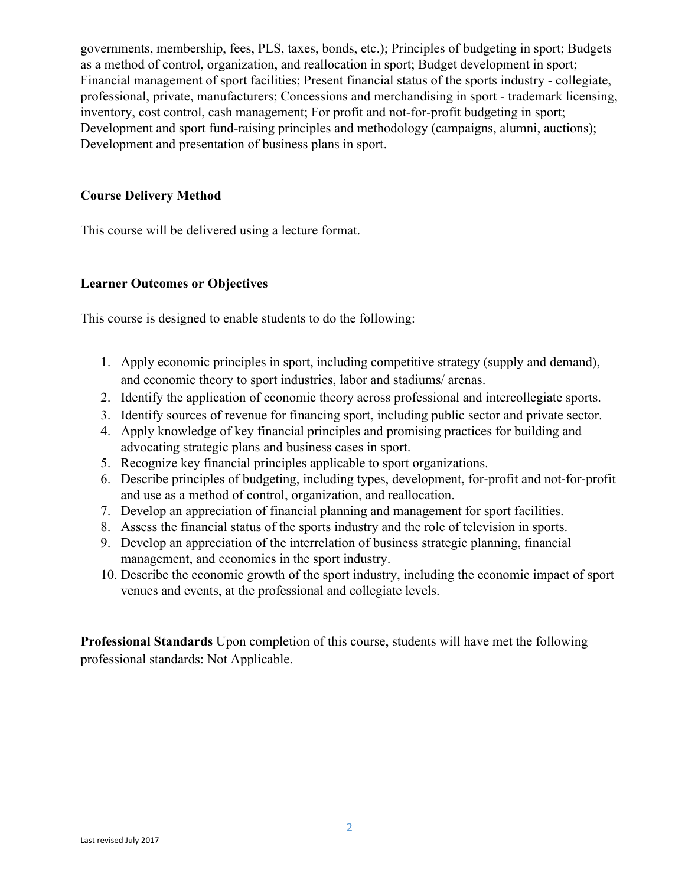governments, membership, fees, PLS, taxes, bonds, etc.); Principles of budgeting in sport; Budgets as a method of control, organization, and reallocation in sport; Budget development in sport; Financial management of sport facilities; Present financial status of the sports industry - collegiate, professional, private, manufacturers; Concessions and merchandising in sport - trademark licensing, inventory, cost control, cash management; For profit and not-for-profit budgeting in sport; Development and sport fund-raising principles and methodology (campaigns, alumni, auctions); Development and presentation of business plans in sport.

### **Course Delivery Method**

This course will be delivered using a lecture format.

#### **Learner Outcomes or Objectives**

This course is designed to enable students to do the following:

- 1. Apply economic principles in sport, including competitive strategy (supply and demand), and economic theory to sport industries, labor and stadiums/ arenas.
- 2. Identify the application of economic theory across professional and intercollegiate sports.
- 3. Identify sources of revenue for financing sport, including public sector and private sector.
- 4. Apply knowledge of key financial principles and promising practices for building and advocating strategic plans and business cases in sport.
- 5. Recognize key financial principles applicable to sport organizations.
- 6. Describe principles of budgeting, including types, development, for-profit and not-for-profit and use as a method of control, organization, and reallocation.
- 7. Develop an appreciation of financial planning and management for sport facilities.
- 8. Assess the financial status of the sports industry and the role of television in sports.
- 9. Develop an appreciation of the interrelation of business strategic planning, financial management, and economics in the sport industry.
- 10. Describe the economic growth of the sport industry, including the economic impact of sport venues and events, at the professional and collegiate levels.

**Professional Standards** Upon completion of this course, students will have met the following professional standards: Not Applicable.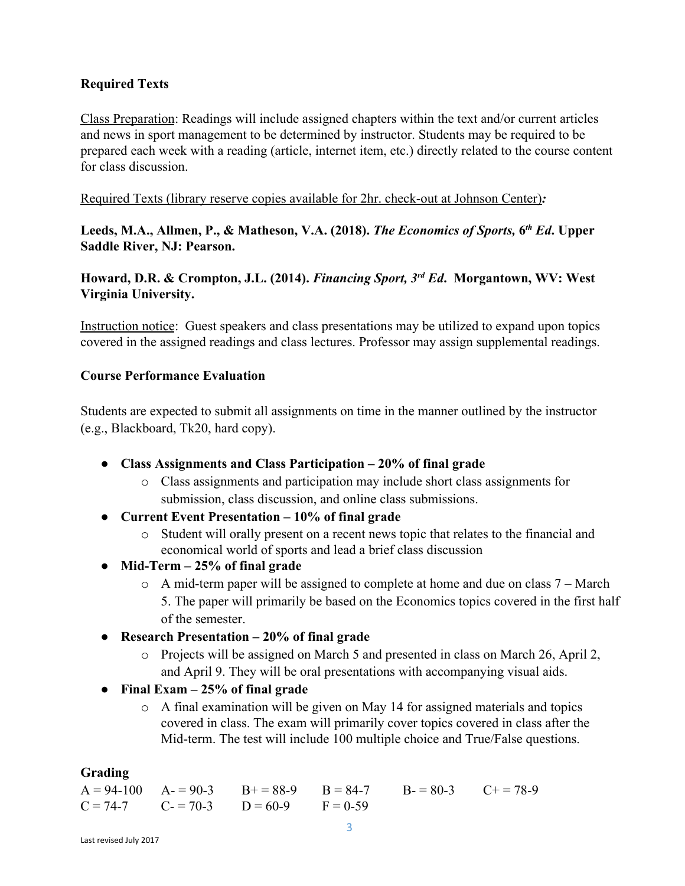# **Required Texts**

Class Preparation: Readings will include assigned chapters within the text and/or current articles and news in sport management to be determined by instructor. Students may be required to be prepared each week with a reading (article, internet item, etc.) directly related to the course content for class discussion.

Required Texts (library reserve copies available for 2hr. check-out at Johnson Center)*:*

Leeds, M.A., Allmen, P., & Matheson, V.A. (2018). *The Economics of Sports*, 6<sup>th</sup> Ed. Upper **Saddle River, NJ: Pearson.**

**Howard, D.R. & Crompton, J.L. (2014).** *Financing Sport, 3rd Ed***. Morgantown, WV: West Virginia University.**

Instruction notice: Guest speakers and class presentations may be utilized to expand upon topics covered in the assigned readings and class lectures. Professor may assign supplemental readings.

# **Course Performance Evaluation**

Students are expected to submit all assignments on time in the manner outlined by the instructor (e.g., Blackboard, Tk20, hard copy).

- **Class Assignments and Class Participation 20% of final grade**
	- o Class assignments and participation may include short class assignments for submission, class discussion, and online class submissions.
- **● Current Event Presentation 10% of final grade**
	- o Student will orally present on a recent news topic that relates to the financial and economical world of sports and lead a brief class discussion
- **● Mid-Term 25% of final grade**
	- o A mid-term paper will be assigned to complete at home and due on class 7 March 5. The paper will primarily be based on the Economics topics covered in the first half of the semester.
- **● Research Presentation 20% of final grade**
	- o Projects will be assigned on March 5 and presented in class on March 26, April 2, and April 9. They will be oral presentations with accompanying visual aids.
- **● Final Exam 25% of final grade**
	- o A final examination will be given on May 14 for assigned materials and topics covered in class. The exam will primarily cover topics covered in class after the Mid-term. The test will include 100 multiple choice and True/False questions.

# **Grading**

|  |                                             | $A = 94-100$ $A = 90-3$ $B = 88-9$ $B = 84-7$ $B = 80-3$ $C = 78-9$ |  |
|--|---------------------------------------------|---------------------------------------------------------------------|--|
|  | $C = 74-7$ $C = 70-3$ $D = 60-9$ $F = 0-59$ |                                                                     |  |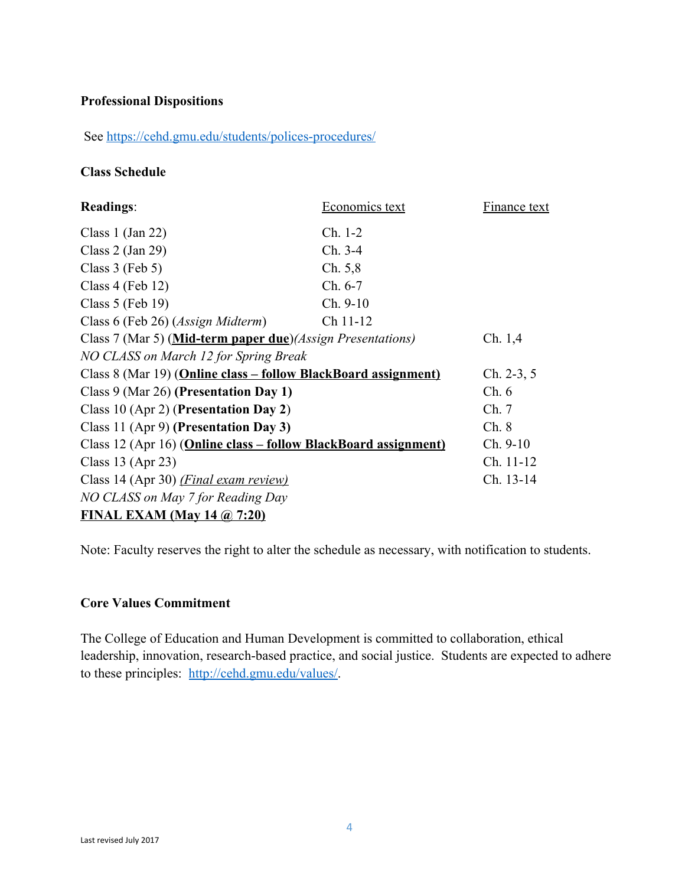### **Professional Dispositions**

See<https://cehd.gmu.edu/students/polices-procedures/>

#### **Class Schedule**

| <b>Readings:</b>                                                | Economics text | <b>Finance text</b> |
|-----------------------------------------------------------------|----------------|---------------------|
| Class 1 $(Jan 22)$                                              | Ch. 1-2        |                     |
| Class $2$ (Jan 29)                                              | Ch. 3-4        |                     |
| Class $3$ (Feb $5$ )                                            | Ch. 5,8        |                     |
| Class $4$ (Feb 12)                                              | $Ch. 6-7$      |                     |
| Class $5$ (Feb 19)                                              | $Ch. 9-10$     |                     |
| Class 6 (Feb 26) (Assign Midterm)                               | Ch 11-12       |                     |
| Class 7 (Mar 5) (Mid-term paper due) (Assign Presentations)     |                | Ch. 1,4             |
| NO CLASS on March 12 for Spring Break                           |                |                     |
| Class 8 (Mar 19) (Online class - follow BlackBoard assignment)  |                | $Ch. 2-3, 5$        |
| Class 9 (Mar 26) (Presentation Day 1)                           |                | Ch.6                |
| Class 10 (Apr 2) (Presentation Day 2)                           |                | Ch.7                |
| Class 11 (Apr 9) (Presentation Day 3)                           |                | Ch. 8               |
| Class 12 (Apr 16) (Online class – follow BlackBoard assignment) |                | $Ch. 9-10$          |
| Class 13 (Apr 23)                                               |                | Ch. 11-12           |
| Class 14 (Apr 30) ( <i>Final exam review</i> )                  |                | Ch. 13-14           |
| NO CLASS on May 7 for Reading Day                               |                |                     |
| FINAL EXAM (May 14 $\omega$ , 7:20)                             |                |                     |

Note: Faculty reserves the right to alter the schedule as necessary, with notification to students.

#### **Core Values Commitment**

The College of Education and Human Development is committed to collaboration, ethical leadership, innovation, research-based practice, and social justice. Students are expected to adhere to these principles: [http://cehd.gmu.edu/values/.](http://cehd.gmu.edu/values/)